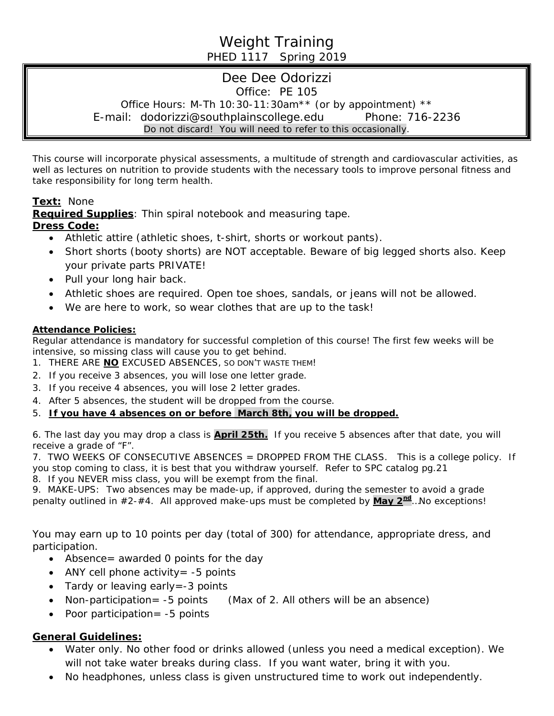# Weight Training PHED 1117 Spring 2019

# Dee Dee Odorizzi Office: PE 105 Office Hours: M-Th 10:30-11:30am\*\* (or by appointment) \*\* E-mail: dodorizzi@southplainscollege.edu Phone: 716-2236 Do not discard! You will need to refer to this occasionally.

This course will incorporate physical assessments, a multitude of strength and cardiovascular activities, as well as lectures on nutrition to provide students with the necessary tools to improve personal fitness and take responsibility for long term health.

## **Text:** None

**Required Supplies**: Thin spiral notebook and measuring tape. **Dress Code:**

- Athletic attire (athletic shoes, t-shirt, shorts or workout pants).
- *Short* shorts (booty shorts) are NOT acceptable. Beware of big legged shorts also. Keep your private parts PRIVATE!
- Pull your long hair back.
- Athletic shoes are required. Open toe shoes, sandals, or jeans will not be allowed.
- We are here to work, so wear clothes that are up to the task!

### **Attendance Policies:**

Regular attendance is mandatory for successful completion of this course! The first few weeks will be intensive, so missing class will cause you to get behind.

- 1. THERE ARE **NO** EXCUSED ABSENCES, SO DON'T WASTE THEM!
- 2. If you receive 3 absences, you will lose one letter grade.
- 3. If you receive 4 absences, you will lose 2 letter grades.
- 4. After 5 absences, the student will be dropped from the course.

### 5. *If you have 4 absences on or before March 8th, you will be dropped.*

6. The last day you may drop a class is **April 25th.** If you receive 5 absences after that date, you will receive a grade of "F".

7. TWO WEEKS OF CONSECUTIVE ABSENCES = DROPPED FROM THE CLASS. This is a college policy. If you stop coming to class, it is best that you withdraw yourself. Refer to SPC catalog pg.21 8. If you NEVER miss class, you will be exempt from the final.

9. MAKE-UPS: Two absences may be made-up, if approved, during the semester to avoid a grade penalty outlined in #2-#4. All approved make-ups must be completed by **May 2nd**…No exceptions!

You may earn up to 10 points per day (total of 300) for attendance, appropriate dress, and participation.

- Absence = awarded 0 points for the day
- ANY cell phone activity  $= -5$  points
- Tardy or leaving early = -3 points
- Non-participation= -5 points (Max of 2. All others will be an absence)
- Poor participation= -5 points

### **General Guidelines:**

- Water only. No other food or drinks allowed *(unless you need a medical exception).* We will not take water breaks during class. If you want water, bring it with you.
- No headphones, unless class is given unstructured time to work out independently.